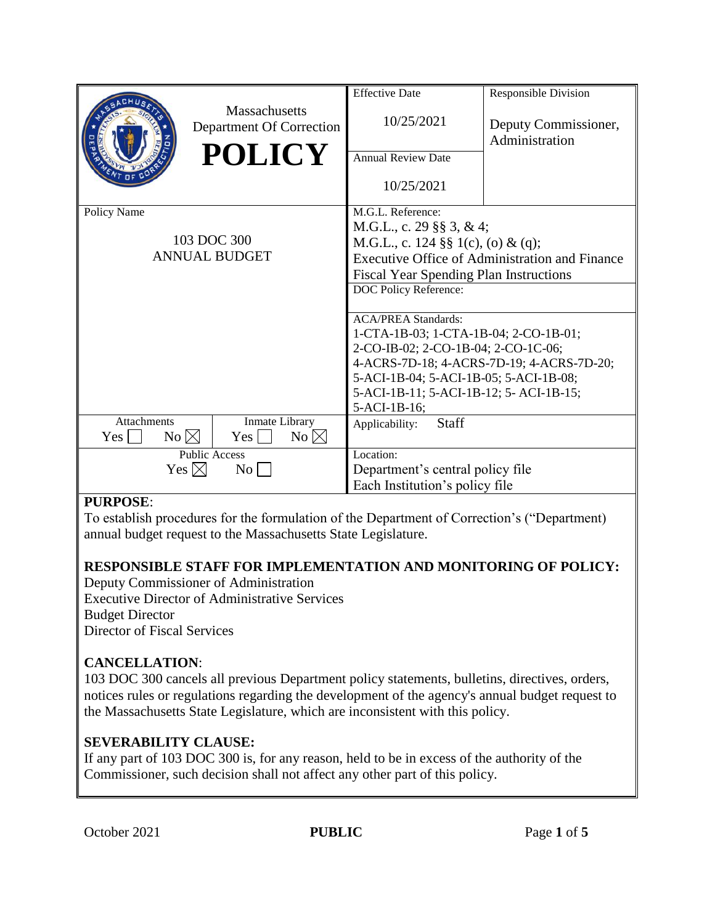|                                       |                                                  | <b>Effective Date</b>                                 | <b>Responsible Division</b>            |
|---------------------------------------|--------------------------------------------------|-------------------------------------------------------|----------------------------------------|
|                                       | <b>Massachusetts</b><br>Department Of Correction | 10/25/2021                                            | Deputy Commissioner,<br>Administration |
|                                       | <b>POLICY</b>                                    | <b>Annual Review Date</b>                             |                                        |
|                                       |                                                  |                                                       |                                        |
|                                       |                                                  | 10/25/2021                                            |                                        |
| Policy Name                           |                                                  | M.G.L. Reference:                                     |                                        |
|                                       |                                                  | M.G.L., c. 29 §§ 3, & 4;                              |                                        |
| 103 DOC 300                           |                                                  | M.G.L., c. 124 §§ 1(c), (o) & (q);                    |                                        |
| <b>ANNUAL BUDGET</b>                  |                                                  | <b>Executive Office of Administration and Finance</b> |                                        |
|                                       |                                                  | <b>Fiscal Year Spending Plan Instructions</b>         |                                        |
|                                       |                                                  | DOC Policy Reference:                                 |                                        |
|                                       |                                                  |                                                       |                                        |
|                                       |                                                  | <b>ACA/PREA Standards:</b>                            |                                        |
|                                       |                                                  | 1-CTA-1B-03; 1-CTA-1B-04; 2-CO-1B-01;                 |                                        |
|                                       |                                                  | 2-CO-IB-02; 2-CO-1B-04; 2-CO-1C-06;                   |                                        |
|                                       |                                                  | 4-ACRS-7D-18; 4-ACRS-7D-19; 4-ACRS-7D-20;             |                                        |
|                                       |                                                  | 5-ACI-1B-04; 5-ACI-1B-05; 5-ACI-1B-08;                |                                        |
|                                       |                                                  | 5-ACI-1B-11; 5-ACI-1B-12; 5- ACI-1B-15;               |                                        |
|                                       |                                                  | 5-ACI-1B-16;                                          |                                        |
| Attachments                           | Inmate Library                                   | Staff<br>Applicability:                               |                                        |
| $No \bowtie$<br>Yes                   | $No \boxtimes$<br>Yes                            |                                                       |                                        |
| <b>Public Access</b>                  |                                                  | Location:                                             |                                        |
| Yes $\boxtimes$<br>$\overline{N_{0}}$ |                                                  | Department's central policy file                      |                                        |
|                                       |                                                  | Each Institution's policy file                        |                                        |

### **PURPOSE**:

To establish procedures for the formulation of the Department of Correction's ("Department) annual budget request to the Massachusetts State Legislature.

# **RESPONSIBLE STAFF FOR IMPLEMENTATION AND MONITORING OF POLICY:**

Deputy Commissioner of Administration Executive Director of Administrative Services Budget Director Director of Fiscal Services

# **CANCELLATION**:

103 DOC 300 cancels all previous Department policy statements, bulletins, directives, orders, notices rules or regulations regarding the development of the agency's annual budget request to the Massachusetts State Legislature, which are inconsistent with this policy.

# **SEVERABILITY CLAUSE:**

If any part of 103 DOC 300 is, for any reason, held to be in excess of the authority of the Commissioner, such decision shall not affect any other part of this policy.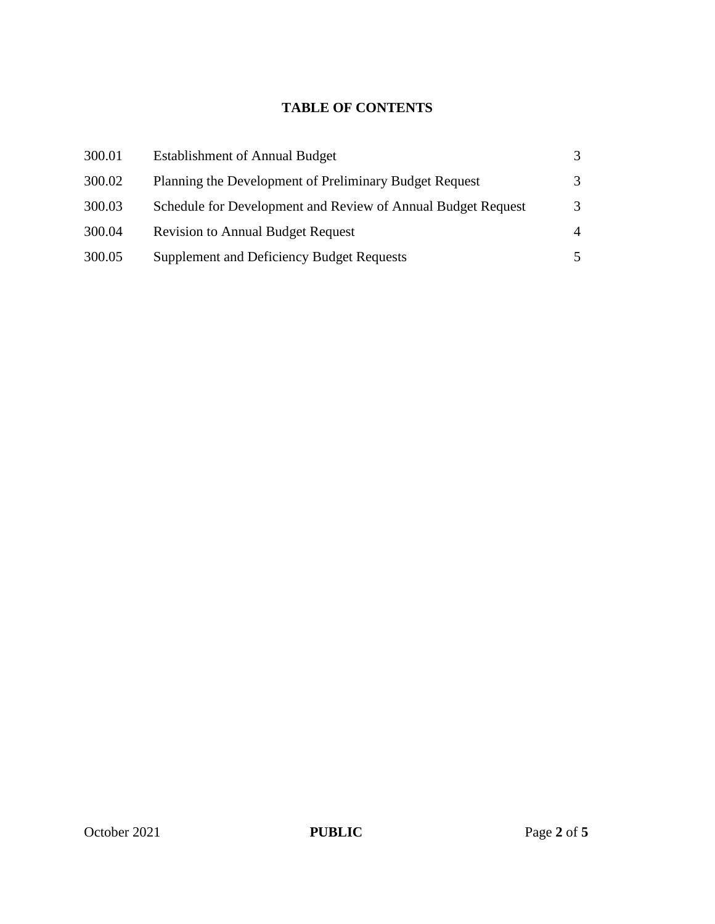# **TABLE OF CONTENTS**

| 300.01 | <b>Establishment of Annual Budget</b>                        |                |
|--------|--------------------------------------------------------------|----------------|
| 300.02 | Planning the Development of Preliminary Budget Request       | 3              |
| 300.03 | Schedule for Development and Review of Annual Budget Request | 3              |
| 300.04 | <b>Revision to Annual Budget Request</b>                     | $\overline{4}$ |
| 300.05 | <b>Supplement and Deficiency Budget Requests</b>             | 5              |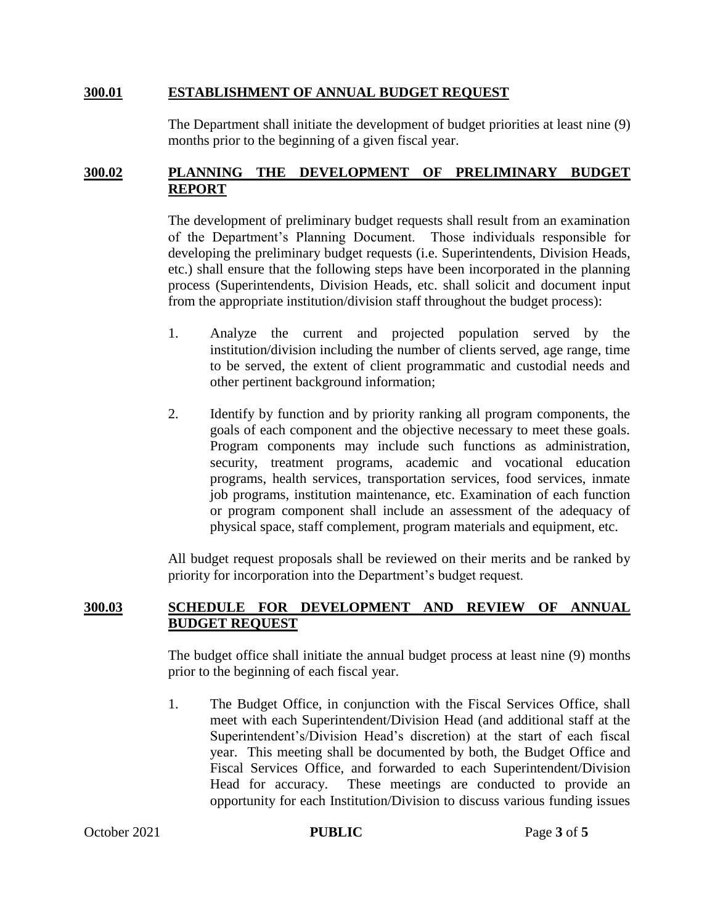#### **300.01 ESTABLISHMENT OF ANNUAL BUDGET REQUEST**

The Department shall initiate the development of budget priorities at least nine (9) months prior to the beginning of a given fiscal year.

### **300.02 PLANNING THE DEVELOPMENT OF PRELIMINARY BUDGET REPORT**

The development of preliminary budget requests shall result from an examination of the Department's Planning Document. Those individuals responsible for developing the preliminary budget requests (i.e. Superintendents, Division Heads, etc.) shall ensure that the following steps have been incorporated in the planning process (Superintendents, Division Heads, etc. shall solicit and document input from the appropriate institution/division staff throughout the budget process):

- 1. Analyze the current and projected population served by the institution/division including the number of clients served, age range, time to be served, the extent of client programmatic and custodial needs and other pertinent background information;
- 2. Identify by function and by priority ranking all program components, the goals of each component and the objective necessary to meet these goals. Program components may include such functions as administration, security, treatment programs, academic and vocational education programs, health services, transportation services, food services, inmate job programs, institution maintenance, etc. Examination of each function or program component shall include an assessment of the adequacy of physical space, staff complement, program materials and equipment, etc.

All budget request proposals shall be reviewed on their merits and be ranked by priority for incorporation into the Department's budget request.

#### **300.03 SCHEDULE FOR DEVELOPMENT AND REVIEW OF ANNUAL BUDGET REQUEST**

The budget office shall initiate the annual budget process at least nine (9) months prior to the beginning of each fiscal year.

1. The Budget Office, in conjunction with the Fiscal Services Office, shall meet with each Superintendent/Division Head (and additional staff at the Superintendent's/Division Head's discretion) at the start of each fiscal year. This meeting shall be documented by both, the Budget Office and Fiscal Services Office, and forwarded to each Superintendent/Division Head for accuracy. These meetings are conducted to provide an opportunity for each Institution/Division to discuss various funding issues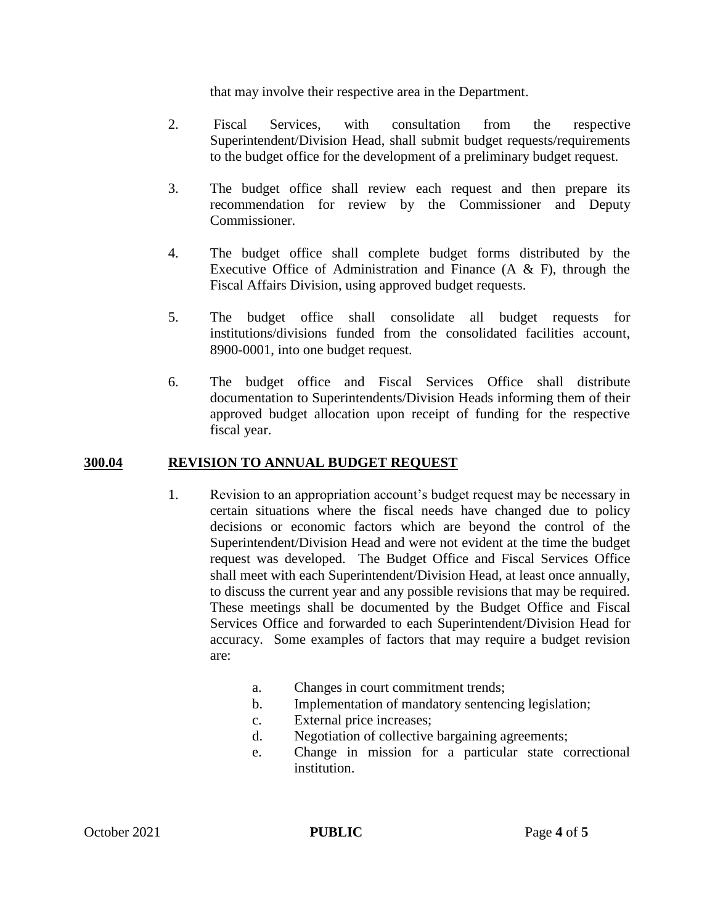that may involve their respective area in the Department.

- 2. Fiscal Services, with consultation from the respective Superintendent/Division Head, shall submit budget requests/requirements to the budget office for the development of a preliminary budget request.
- 3. The budget office shall review each request and then prepare its recommendation for review by the Commissioner and Deputy Commissioner.
- 4. The budget office shall complete budget forms distributed by the Executive Office of Administration and Finance  $(A \& F)$ , through the Fiscal Affairs Division, using approved budget requests.
- 5. The budget office shall consolidate all budget requests for institutions/divisions funded from the consolidated facilities account, 8900-0001, into one budget request.
- 6. The budget office and Fiscal Services Office shall distribute documentation to Superintendents/Division Heads informing them of their approved budget allocation upon receipt of funding for the respective fiscal year.

### **300.04 REVISION TO ANNUAL BUDGET REQUEST**

- 1. Revision to an appropriation account's budget request may be necessary in certain situations where the fiscal needs have changed due to policy decisions or economic factors which are beyond the control of the Superintendent/Division Head and were not evident at the time the budget request was developed. The Budget Office and Fiscal Services Office shall meet with each Superintendent/Division Head, at least once annually, to discuss the current year and any possible revisions that may be required. These meetings shall be documented by the Budget Office and Fiscal Services Office and forwarded to each Superintendent/Division Head for accuracy. Some examples of factors that may require a budget revision are:
	- a. Changes in court commitment trends;
	- b. Implementation of mandatory sentencing legislation;
	- c. External price increases;
	- d. Negotiation of collective bargaining agreements;
	- e. Change in mission for a particular state correctional institution.